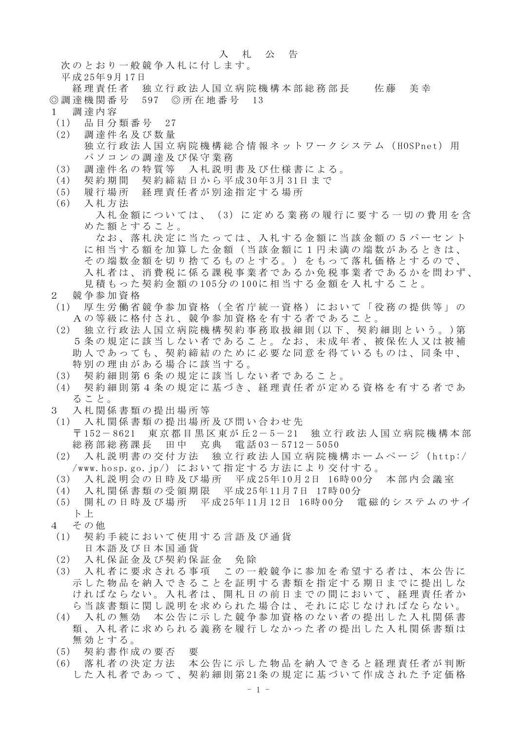## 入札公告

次のとおり一般競争入札に付します。

平成 25年 9月 17日

- 経理責任者 独立行政法人国立病院機構本部総務部長 佐藤 美幸 ◎調達機関番号 597 ◎所在地番号 13
- 1 調達内容
- (1) 品目分類番号 27
- (2) 調達件名及び数量 独立行政法人国立病院機構総合情報ネットワークシステム (HOSPnet) 用 パソコンの調達及び保守業務
- (3) 調達件名の特質等 入札説明書及び仕様書による。
- (4) 契約期間 契約締結日から平成 30年 3月 31日まで
- (5) 履行場所 経理責任者が別途指定する場所
- (6) 入札方法

入札金額については、(3)に定める業務の履行に要する一切の費用を含 めた額とすること。

なお、落札決定に当たっては、入札する金額に当該金額の5パーセント に相当する額を加算した金額(当該金額に1円未満の端数があるときは、 その端数金額を切り捨てるものとする。)をもって落札価格とするので、 入札者は、消費税に係る課税事業者であるか免税事業者であるかを問わず、 見積もった契約金額の 105分の 100に相当する金額を入札すること。

- 2 競争参加資格
- (1) 厚生労働省競争参加資格(全省庁統一資格)において「役務の提供等」の Aの等級に格付され、競争参加資格を有する者であること 。
- (2) 独立行政法人国立病院機構契約事務取扱細則 (以下、契約細則という。 )第 5条の規定に該当しない者であること。なお、未成年者、被保佐人又は被補 助人であっても、契約締結のために必要な同意を得ているものは、同条中、 特別の理由がある場合に該当する。
- (3) 契約細則第6条の規定に該当しない者であること。
- (4) 契約細則第4条の規定に基づき、経理責任者が定める資格を有する者であ ること。
- 3 入札関係書類の提出場所等
- (1) 入札関係書類の提出場所及び問い合わせ先 〒 152- 8621 東京都目黒区東が丘 2- 5- 21 独立行政法人国立病院機構本部 総務部総務課長 田中 克典 電話 03- 5712- 5050
- (2) 入札説明書の交付方法 独立行政法人国立病院機構ホームページ( http:/ /www.hosp.go.jp/)において指定する方法により交付する。
- (3) 入札説明会の日時及び場所 平成 25年 10月 2日 16時 00分 本部内会議室
- (4) 入札関係書類の受領期限 平成 25年 11月 7日 17時 00分
- (5) 開札の日時及び場所 平成 25年 11月 12日 16時 00分 電磁的システムのサイ ト 上
- 4 その他
- (1) 契約手続において使用する言語及び通貨 日本語及び日本国通貨
- (2) 入札保証金及び契約保証金 免除
- (3) 入札者に要求される事項 この一般競争に参加を希望する者は、本公告に 示した物品を納入できることを証明する書類を指定する期日までに提出しな ければならない。入札者は、開札日の前日までの間において、経理責任者か ら当該書類に関し説明を求められた場合は、それに応じなければならない。
- (4) 入札の無効 本公告に示した競争参加資格のない者の提出した入札関係書 類、入札者に求められる義務を履行しなかった者の提出した入札関係書類は 無効とする。
- (5) 契約書作成の要否 要
- (6) 落札者の決定方法 本公告に示した物品を納入できると経理責任者が判断 した入札者であって、契約細則第 21条の規定に基づいて作成された予定価格